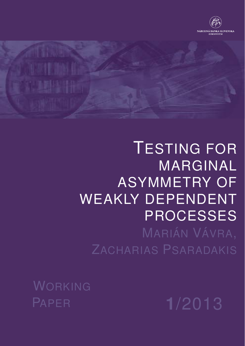



# TESTING FOR MARGINAL ASYMMETRY OF WEAKLY DEPENDENT PROCESSES

MARIÁN VÁVRA, ZACHARIAS PSARADAKIS

WORKING PAPER **1**/2013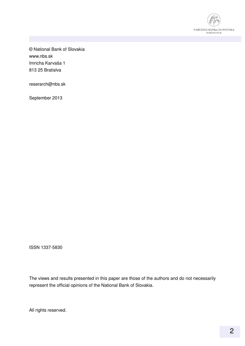

© National Bank of Slovakia www.nbs.sk Imricha Karvaša 1 813 25 Bratislva

reserarch@nbs.sk

September 2013

ISSN 1337-5830

The views and results presented in this paper are those of the authors and do not necessarily represent the official opinions of the National Bank of Slovakia.

All rights reserved.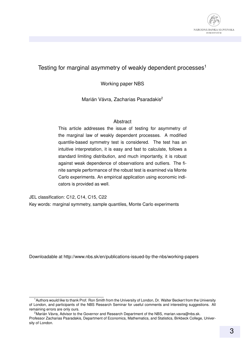

#### Testing for marginal asymmetry of weakly dependent processes<sup>1</sup>

Working paper NBS

Marián Vávra, Zacharias Psaradakis<sup>2</sup>

#### Abstract

This article addresses the issue of testing for asymmetry of the marginal law of weakly dependent processes. A modified quantile-based symmetry test is considered. The test has an intuitive interpretation, it is easy and fast to calculate, follows a standard limiting distribution, and much importantly, it is robust against weak dependence of observations and outliers. The finite sample performance of the robust test is examined via Monte Carlo experiments. An empirical application using economic indicators is provided as well.

JEL classification: C12, C14, C15, C22

Key words: marginal symmetry, sample quantiles, Monte Carlo experiments

Downloadable at http://www.nbs.sk/en/publications-issued-by-the-nbs/working-papers

<sup>1</sup>Authors would like to thank Prof. Ron Smith from the University of London, Dr. Walter Beckert from the University of London, and participants of the NBS Research Seminar for useful comments and interesting suggestions. All remaining errors are only ours.

<sup>&</sup>lt;sup>2</sup> Marián Vávra, Advisor to the Governor and Research Department of the NBS, marian.vavra@nbs.sk. Professor Zacharias Psaradakis, Department of Economics, Mathematics, and Statistics, Birkbeck College, University of London.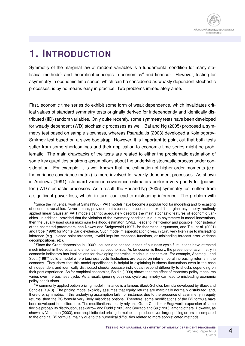# **1. INTRODUCTION**

Symmetry of the marginal law of random variables is a fundamental condition for many statistical methods<sup>3</sup> and theoretical concepts in economics<sup>4</sup> and finance<sup>5</sup>. However, testing for asymmetry in economic time series, which can be considered as weakly dependent stochastic processes, is by no means easy in practice. Two problems immediately arise.

First, economic time series do exhibit some form of weak dependence, which invalidates critical values of standard symmetry tests originally derived for independently and identically distributed (IID) random variables. Only quite recently, some symmetry tests have been developed for weakly dependent (WD) stochastic processes as well. Bai and Ng (2005) proposed a symmetry test based on sample skewness, whereas Psaradakis (2003) developed a Kolmogorov-Smirnov test based on a sieve bootstrap. However, it is important to point out that both tests suffer from some shortcomings and their application to economic time series might be problematic. The main drawbacks of the tests are related to either the problematic estimation of some key quantities or strong assumptions about the underlying stochastic process under consideration. For example, it is well known that the estimation of higher-order moments (e.g. the variance-covariance matrix) is more involved for weakly dependent processes. As shown in Andrews (1991), standard variance-covariance estimators perform very poorly for (persistent) WD stochastic processes. As a result, the Bai and Ng (2005) symmetry test suffers from a significant power loss, which, in turn, can lead to misleading inference. The problem with

<sup>5</sup>A commonly applied option pricing model in finance is a famous Black-Scholes formula developed by Black and Scholes (1973). The pricing model explicitly assumes that equity returns are marginally normally distributed, and, therefore, symmetric. If this underlying assumption fails, for instance, due to the presence of asymmetry in equity returns, then the BS formula very likely misprices options. Therefore, some modifications of the BS formula have been developed in the literature. The modifications usually rely on a Gram-Charlier or Edgeworth expansion of some flexible probability distribution, see Jarrow and Rudd (1982) and Corrado and Su (1996), among others. However, as shown by Vahamaa (2003), more sophisticated pricing formulae can produce even larger pricing errors as compared to the original BS formula, mainly due to the numerical difficulties related to more sophisticated methods.

<sup>&</sup>lt;sup>3</sup>Since the influential work of Sims (1980), VAR models have become a popular tool for modelling and forecasting of economic variables. Nevertheless, provided that stochastic processes do exhibit marginal asymmetry, routinely applied linear Gaussian VAR models cannot adequately describe the main stochastic features of economic variables. In addition, provided that the violation of the symmetry condition is due to asymmetry in model innovations, then the usually used quasi maximum likelihood estimator (QMLE) leads to inefficiency and possible inconsistency of the estimated parameters, see Newey and Steigerwald (1997) for theoretical arguments, and Tiku et al. (2001) and Pope (1990) for Monte Carlo evidence. Such model misspecification gives, in turn, very likely rise to misleading inference (e.g. biased point forecasts, invalid impulse response functions, or misleading forecast error variance decompositions, etc).

<sup>4</sup>Since the Great depression in 1930's, causes and consequences of business cycle fluctuations have attracted much interest in theoretical and empirical macroeconomics. As for economic theory, the presence of asymmetry in economic indicators has implications for developing theoretical models in economics. For example, Acemoglu and Scott (1997) build a model where business cycle fluctuations are based on intertemporal increasing returns in the economy. They show that this model specification is helpful in explaining business fluctuations even in the case of independent and identically distributed shocks because individuals respond differently to shocks depending on their past experience. As for empirical economics, Boldin (1999) shows that the effect of monetary policy measures varies over the business cycle. As a result, ignoring business cycle asymmetry can lead to misleading economic policy conclusions.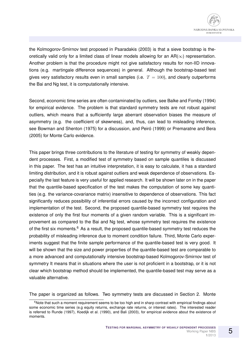

the Kolmogorov-Smirnov test proposed in Psaradakis (2003) is that a sieve bootstrap is theoretically valid only for a limited class of linear models allowing for an  $AR(\infty)$  representation. Another problem is that the procedure might not give satisfactory results for non-IID innovations (e.g. martingale difference sequences) in general. Although the bootstrap-based test gives very satisfactory results even in small samples (i.e.  $T = 100$ ), and clearly outperforms the Bai and Ng test, it is computationally intensive.

Second, economic time series are often contaminated by outliers, see Balke and Fomby (1994) for empirical evidence. The problem is that standard symmetry tests are not robust against outliers, which means that a sufficiently large aberrant observation biases the measure of asymmetry (e.g. the coefficient of skewness), and, thus, can lead to misleading inference, see Bowman and Shenton (1975) for a discussion, and Peiró (1999) or Premaratne and Bera (2005) for Monte Carlo evidence.

This paper brings three contributions to the literature of testing for symmetry of weakly dependent processes. First, a modified test of symmetry based on sample quantiles is discussed in this paper. The test has an intuitive interpretation, it is easy to calculate, it has a standard limiting distribution, and it is robust against outliers and weak dependence of observations. Especially the last feature is very useful for applied research. It will be shown later on in the paper that the quantile-based specification of the test makes the computation of some key quantities (e.g. the variance-covariance matrix) insensitive to dependence of observations. This fact significantly reduces possibility of inferential errors caused by the incorrect configuration and implementation of the test. Second, the proposed quantile-based symmetry test requires the existence of only the first four moments of a given random variable. This is a significant improvement as compared to the Bai and Ng test, whose symmetry test requires the existence of the first six moments.<sup>6</sup> As a result, the proposed quantile-based symmetry test reduces the probability of misleading inference due to moment condition failure. Third, Monte Carlo experiments suggest that the finite sample performance of the quantile-based test is very good. It will be shown that the size and power properties of the quantile-based test are comparable to a more advanced and computationally intensive bootstrap-based Kolmogorov-Smirnov test of symmetry It means that in situations where the user is not proficient in a bootstrap, or it is not clear which bootstrap method should be implemented, the quantile-based test may serve as a valuable alternative.

The paper is organized as follows. Two symmetry tests are discussed in Section 2. Monte

 $6$ Note that such a moment requirement seems to be too high and in sharp contrast with empirical findings about some economic time series (e.g equity returns, exchange rate returns, or interest rates). The interested reader is referred to Runde (1997), Koedijk et al. (1990), and Bali (2003), for empirical evidence about the existence of moments.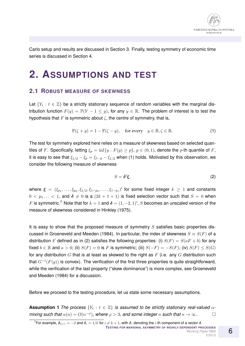

Carlo setup and results are discussed in Section 3. Finally, testing symmetry of economic time series is discussed in Section 4.

### **2. ASSUMPTIONS AND TEST**

#### **2.1 ROBUST MEASURE OF SKEWNESS**

Let  $\{Y_t : t \in \mathbb{Z}\}$  be a strictly stationary sequence of random variables with the marginal distribution function  $F(y) = \mathbb{P}(Y - 1 \le y)$ , for any  $y \in \mathbb{R}$ . The problem of interest is to test the hypothesis that F is symmetric about  $\zeta$ , the centre of symmetry, that is,

$$
\mathbb{F}(\zeta + y) = 1 - \mathbb{F}(\zeta - y), \quad \text{for every} \quad y \in \mathbb{R}, \zeta \in \mathbb{R}.
$$
 (1)

The test for symmetry explored here relies on a measure of skewness based on selected quantiles of F. Specifically, letting  $\xi_p = \inf\{y : F(y) \geq p\}$ ,  $p \in (0, 1)$ , denote the p-th quantile of F, it is easy to see that  $\xi_{1/2} - \xi_p = \xi_{1-p} - \xi_{1/2}$  when (1) holds. Motivated by this observation, we consider the following measure of skewness

$$
S = \delta'\xi,\tag{2}
$$

where  $\bm{\xi}$  =  $(\xi_{p_1},\ldots,\xi_{p_k},\xi_{1/2},\xi_{1-p_k},\ldots,\xi_{1-p_1})'$  for some fixed integer  $k$   $\geq$  1 and constants  $0 < p_1... < 1$ , and  $\delta \neq 0$  is a  $(2k + 1 \times 1)$  is fixed selection vector such that  $S = 0$  when F is symmetric.<sup>7</sup> Note that for  $k = 1$  and  $\boldsymbol{\delta} = (1, -2, 1)$ ', S becomes an unscaled version of the measure of skewness considered in Hinkley (1975).

It is easy to show that the proposed measure of symmetry  $S$  satisfies basic properties discussed in Groeneveld and Meeden (1984). In particular, the index of skewness  $S \equiv S(F)$  of a distribution F defined as in (2) satisfies the following properties: (i)  $S(F) = S(aF + b)$  for any fixed  $b \in \mathbb{R}$  and  $a > 0$ ; (ii)  $S(F) = 0$  is F is symmetric; (iii)  $S(-F) = -S(F)$ ; (iv)  $S(F) \leq S(G)$ for any distribution G that is at least as skewed to the right as  $F$  (i.e. any G distribution such that  $G^{-1}(F(y))$  is convex). The verification of the first three properties is quite straightforward, while the verification of the last property ("skew dominance") is more complex, see Groeneveld and Meeden (1984) for a discussion.

Before we proceed to the testing procedure, let us state some necessary assumptions.

**Assumption 1** *The process*  $\{Y_t : t \in \mathbb{Z}\}$  *is assumed to be strictly stationary real-valued*  $\alpha$ *mixing such that*  $\alpha(n) = O(n^{-\varphi})$ , where  $\varphi > 3$ , and some integer n such that  $n \to \infty$ .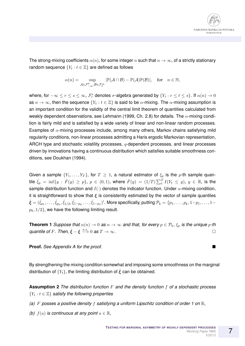

The strong-mixing coefficients  $\alpha(n)$ , for some integer n such that  $n \to \infty$ , of a strictly stationary random sequence  $\{Y_t : t \in \mathbb{Z}\}$  are defined as follows

$$
\alpha(n)=\sup_{\mathcal{A}\in \mathcal{F}_{-\infty}^0,\mathcal{B}\in \mathcal{F}_n^\infty}|\mathbb{P}(\mathcal{A}\cap \mathcal{B})-\mathbb{P}(\mathcal{A})\mathbb{P}(\mathcal{B})|, \quad \text{for} \quad n\in \mathbb{N},
$$

where, for  $-\infty\leq r\leq s\leq\infty$ ,  $\mathcal{F}^s_r$  denotes  $\sigma$ -algebra generated by  $\{Y_t:r\leq t\leq s\}.$  If  $\alpha(n)\to 0$ as  $n \to \infty$ , then the sequence  $\{Y_t : t \in \mathbb{Z}\}$  is said to be  $\alpha$ -mixing. The  $\alpha$ -mixing assumption is an important condition for the validity of the central limit theorem of quantities calculated from weakly dependent observations, see Lehmann (1999, Ch. 2.8) for details. The  $\alpha$ -mixing condition is fairly mild and is satisfied by a wide variety of linear and non-linear random processes. Examples of  $\alpha$ -mixing processes include, among many others, Markov chains satisfying mild regularity conditions, non-linear processes admitting a Haris ergodic Markovian representation, ARCH type and stochastic volatility processes,  $q$ -dependent processes, and linear processes driven by innovations having a continuous distribution which satisfies suitable smoothness conditions, see Doukhan (1994).

Given a sample  $\{Y_1,\ldots,Y_T\}$ , for  $T\geq 1$ , a natural estimator of  $\xi_p$  is the p-th sample quantile  $\hat{\xi}_p \,=\, \inf\{y \,:\, \hat{F}(y) \,\geq\, p\}, \ p \,\in\, (0,1),$  where  $\hat{F}(y) \,=\, (1/T) \sum_t^T I(Y_t \,\leq\, y), \ y \,\in\, \mathbb{R},$  is the sample distribution function and  $I(\cdot)$  denotes the indicator function. Under  $\alpha$ -mixing condition, it is straightforward to show that  $\epsilon$  is consistently estimated by the vector of sample quantiles  $\hat{\bm{\xi}}=(\hat{\xi}_{p_1},\ldots,\hat{\xi}_{p_k},\hat{\xi}_{1/2},\hat{\xi}_{1-p_k}\ldots,\hat{\xi}_{1-p_1})'.$  More specifically, putting  $\mathcal{P}_k=\{p_1,\ldots,p_k,1-p_1,\ldots,1-p_k\}$  $p_k$ ,  $1/2$ }, we have the following limiting result.

**Theorem 1** *Suppose that*  $\alpha(n) \to 0$  *as*  $n \to \infty$  *and that, for every*  $p \in \mathcal{P}_k$ *,*  $\xi_p$  *is the unique*  $p$ *-th quantile of F. Then,*  $\hat{\xi} - \xi \stackrel{a.s.}{\longrightarrow} 0$  *as*  $T \to \infty$ *.* 

**Proof.** *See Appendix A for the proof.*

By strengthening the mixing condition somewhat and imposing some smoothness on the marginal distribution of  $\{Y_t\}$ , the limiting distribution of  $\hat{\xi}$  can be obtained.

**Assumption 2** *The distribution function* F *and the density function* f *of a stochastic process*  ${Y_t : t \in \mathbb{Z} }$  satisfy the following properties

- *(a)* F *posses a positive density* f *satisfying a uniform Lipschitz condition of order 1 on* R*,*
- *(b)*  $f(u)$  *is continuous at any point*  $u \in \mathbb{R}$ ,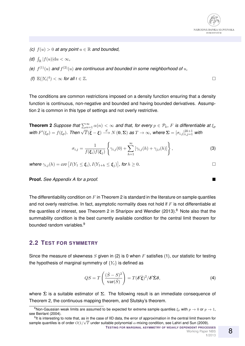

- *(c)*  $f(u) > 0$  *at any point*  $u \in \mathbb{R}$  *and bounded,*
- *(d)*  $\int_{\mathbb{R}} |f(u)| \mathrm{d}u < \infty$ *,*
- (e)  $f^{(1)}(u)$  and  $f^{(2)}(u)$  are continuous and bounded in some neighborhood of u,
- *(f)*  $\mathbb{E}(|Y_t|^4) < \infty$  for all  $t \in \mathbb{Z}$ .

The conditions are common restrictions imposed on a density function ensuring that a density function is continuous, non-negative and bounded and having bounded derivatives. Assumption 2 is common in this type of settings and not overly restrictive.

**Theorem 2** *Suppose that*  $\sum_{n=1}^{\infty} \alpha(n) < \infty$  *and that, for every*  $p \in \mathcal{P}_k$ *, F is differentiable at*  $\xi_p$ *with*  $F'(\xi_p) = f(\xi_p)$ . Then  $\sqrt{T}(\hat{\xi} - \xi) \stackrel{d}{\longrightarrow} N(0, \Sigma)$  *as*  $T \to \infty$ *, where*  $\Sigma = [\sigma_{i,j}]_{i,j=1}^{2k+1}$  *with* 

$$
\sigma_{i,j} = \frac{1}{f(\xi_i)f(\xi_j)} \left\{ \gamma_{i,j}(0) + \sum_{h=1}^{\infty} \left[ \gamma_{i,j}(h) + \gamma_{j,i}(h) \right] \right\},\tag{3}
$$

where  $\gamma_{i,j}(h) = cov \left[ I(Y_1 \leq \boldsymbol{\xi}_i), I(Y_{1+h} \leq \boldsymbol{\xi}_j) \right]$ , for  $h \geq 0$ .

**Proof.** *See Appendix A for a proof.*

The differentiability condition on  $F$  in Theorem 2 is standard in the literature on sample quantiles and not overly restrictive. In fact, asymptotic normality does not hold if  $F$  is not differentiable at the quantiles of interest, see Theorem 2 in Sharipov and Wendler (2013). $8$  Note also that the summability condition is the best currently available condition for the central limit theorem for bounded random variables.<sup>9</sup>

#### **2.2 TEST FOR SYMMETRY**

Since the measure of skewness  $S$  given in (2) is 0 when  $F$  satisfies (1), our statistic for testing the hypothesis of marginal symmetry of  ${Y_t}$  is defined as

$$
QS = T\left(\frac{(\hat{S} - S)^2}{\text{var}(\hat{S})}\right) = T(\delta' \hat{\xi})^2 / \delta' \hat{\Sigma} \delta,
$$
\n(4)

where  $\hat{\Sigma}$  is a suitable estimator of  $\Sigma$ . The following result is an immediate consequence of Theorem 2, the continuous mapping theorem, and Slutsky's theorem.

<sup>&</sup>lt;sup>8</sup>Non-Gaussian weak limits are assumed to be expected for extreme sample quantiles  $\xi_n$  with  $p \to 0$  or  $p \to 1$ , see Beirlant (2004).

<sup>&</sup>lt;sup>9</sup>It is interesting to note that, as in the case of IID data, the error of approximation in the central limit theorem for sample quantiles is of order  $O(1/\sqrt{T}$  under suitable polynomial  $\alpha$ -mixing condition, see Lahiri and Sun (2009).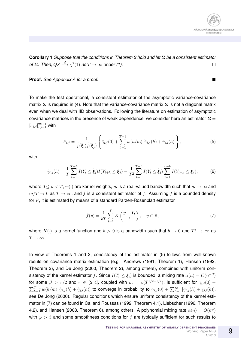

**Corollary 1** *Suppose that the conditions in Theorem 2 hold and let* Σˆ *be a consistent estimator of*  $\Sigma$ *. Then,*  $QS \stackrel{d}{\longrightarrow} \chi^2(1)$  *as*  $T \to \infty$  *under (1).* 

**Proof.** *See Appendix A for a proof.*

To make the test operational, a consistent estimator of the asymptotic variance-covariance matrix  $\Sigma$  is required in (4). Note that the variance-covariance matrix  $\Sigma$  is not a diagonal matrix even when we deal with IID observations. Following the literature on estimation of asymptotic covariance matrices in the presence of weak dependence, we consider here an estimator  $\Sigma =$  $[\sigma_{i,j}]_{i,j=1}^{2k+1}$  with

$$
\hat{\sigma}_{i,j} = \frac{1}{\hat{f}(\hat{\xi}_i)\hat{f}(\hat{\xi}_j)} \left\{ \hat{\gamma}_{i,j}(0) + \sum_{h=1}^{T-1} w(h/m) \left[ \hat{\gamma}_{i,j}(h) + \hat{\gamma}_{j,i}(h) \right] \right\},\tag{5}
$$

with

$$
\hat{\gamma}_{i,j}(h) = \frac{1}{T} \sum_{t=1}^{T-h} I(Y_t \le \hat{\xi}_i) I(Y_{t+h} \le \hat{\xi}_j) - \frac{1}{T^2} \sum_{t=1}^{T-h} I(Y_t \le \hat{\xi}_i) \sum_{t=1}^{T-h} I(Y_{t+h} \le \hat{\xi}_j),
$$
(6)

where  $0 \le h \le T$ ,  $w(\cdot)$  are kernel weights, m is a real-valued bandwidth such that  $m \to \infty$  and  $m/T \to 0$  as  $T \to \infty$ , and  $\hat{f}$  is a consistent estimator of f. Assuming f is a bounded density for F, it is estimated by means of a standard Parzen-Rosenblatt estimator

$$
\hat{f}(y) = \frac{1}{bT} \sum_{t=1}^{T} K\left(\frac{y - Y_t}{b}\right), \quad y \in \mathbb{R},\tag{7}
$$

where  $K(\cdot)$  is a kernel function and  $b > 0$  is a bandwidth such that  $b \to 0$  and  $Tb \to \infty$  as  $T\to\infty$ .

In view of Theorems 1 and 2, consistency of the estimator in (5) follows from well-known resuts on covariance matrix estimation (e.g. Andrews (1991, Theorem 1), Hansen (1992, Theorem 2), and De Jong (2000, Theorem 2), among others), combined with uniform consistency of the kernel estimator  $\hat{f}$ . Since  $I(T_t\leq \boldsymbol{\xi}_i)$  is bounded, a mixing rate  $\alpha(n)=O(n^{-\beta})$ for some  $\beta$  >  $r/2$  and  $r \in (2,4]$ , coupled with  $m = o(T^{1/2-1/r})$ , is sufficient for  $\hat{\gamma}_{i,j}(0)$  +  $\sum_{h=1}^{T-1} w(h/m) \left[ \hat{\gamma}_{i,j}(h) + \hat{\gamma}_{j,i}(h) \right]$  to converge in probability to  $\gamma_{i,j}(0) + \sum_{h=1}^{\infty} \left[ \gamma_{i,j}(h) + \gamma_{j,i}(h) \right]$ see De Jong (2000). Regular conditions which ensure uniform consistency of the kernel estimator in (7) can be found in Cai and Roussas (1992, Theorem 4.1), Liebscher (1996, Theorem 4.2), and Hansen (2008, Theorem 6), among others. A polynomial mixing rate  $\alpha(n) = O(n^{\varphi})$ with  $\varphi > 3$  and some smoothness conditions for f are typically sufficient for such results to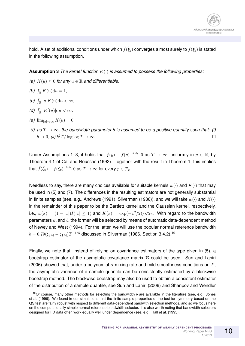

hold. A set of additional conditions under which  $\hat{f}(\hat{\bm{\xi}}_i)$  converges almost surely to  $f(\bm{\xi}_i)$  is stated in the following assumption.

**Assumption 3** *The kernel function* K(·) *is assumed to possess the following properties:*

- *(a)*  $K(u) < 0$  *for any*  $u \in \mathbb{R}$  *and differentiable,*
- *(b)*  $\int_{\mathbb{R}} K(u) \, \mathrm{d}u = 1$ *,*
- (c)  $\int_{\mathbb{R}} |u| K(u) \mathrm{d}u < \infty$ ,
- *(d)*  $\int_{\mathbb{R}} |K'(u)| \mathrm{d}u < \infty$ *,*
- $(e)$   $\lim_{|u| \to \infty} K(u) = 0$ ,
- *(f)* as  $T \rightarrow \infty$ , the bandwidth parameter b is assumed to be a positive quantity such that: (i)  $b \to 0$ ; (ii)  $b^2T/\log \log T \to \infty$ .

Under Assumptions 1–3, it holds that  $\hat{f}(y) - f(y) \stackrel{a.s.}{\longrightarrow} 0$  as  $T \to \infty$ , uniformly in  $y \in \mathbb{R}$ , by Theorem 4.1 of Cai and Roussas (1992). Together with the result in Theorem 1, this implies that  $\hat{f}(\hat{\xi}_{p}) - f(\xi_{p}) \stackrel{a.s.}{\longrightarrow} 0$  as  $T \to \infty$  for every  $p \in \mathcal{P}_{k}$ .

Needless to say, there are many choices available for suitable kernels  $w(\cdot)$  and  $K(\cdot)$  that may be used in (5) and (7). The differences in the resulting estimators are not generally substantial in finite samples (see, e.g., Andrews (1991), Silverman (1986)), and we will take  $w(\cdot)$  and  $K(\cdot)$ in the remainder of this paper to be the Bartlett kernel and the Gaussian kernel, respectively, i.e.,  $w(x) = (1 - |x|)I(|x| \le 1)$  and  $K(x) = \exp(-x^2/2)/\sqrt{2}$  $2\pi$ . With regard to the bandwidth parameters  $m$  and  $b$ , the former will be selected by means of automatic data-dependent method of Newey and West (1994). For the latter, we will use the popular normal reference bandwidth  $b=0.79(\xi_{3/4}-\xi_{1/4})T^{-1/5}$  discussed in Silverman (1986, Section 3.4.2). $^{10}$ 

Finally, we note that, instead of relying on covariance estimators of the type given in (5), a bootstrap estimator of the asymptotic covariance matrix  $\Sigma$  could be used. Sun and Lahiri (2006) showed that, under a polynomial  $\alpha$ -mixing rate and mild smoothness conditions on F, the asymptotic variance of a sample quantile can be consistently estimated by a blockwise bootstrap method. The blockwise bootstrap may also be used to obtain a consistent estimator of the distribution of a sample quantile, see Sun and Lahiri (2006) and Sharipov and Wendler

<sup>&</sup>lt;sup>10</sup>Of course, many other methods for selecting the bandwidth  $b$  are available in the literature (see, e.g., Jones et al. (1996). We found in our simulations that the finite-sample properties of the test for symmetry based on the QS test are fairly robust with respect to different data-dependent bandwith selection methods, and so we focus here on the computationally simple normal reference bandwidth selector. It is also worth noting that bandwidth selectors designed for IID data often work equally well under dependence (see, e.g., Hall et al. (1995).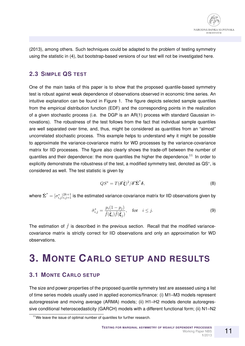(2013), among others. Such techniques could be adapted to the problem of testing symmetry using the statistic in (4), but bootstrap-based versions of our test will not be investigated here.

#### **2.3 SIMPLE QS TEST**

One of the main tasks of this paper is to show that the proposed quantile-based symmetry test is robust against weak dependence of observations observed in economic time series. An intuitive explanation can be found in Figure 1. The figure depicts selected sample quantiles from the empirical distribution function (EDF) and the corresponding points in the realization of a given stochastic process (i.e. the DGP is an AR(1) process with standard Gaussian innovations). The robustness of the test follows from the fact that individual sample quantiles are well separated over time, and, thus, might be considered as quantities from an "almost" uncorrelated stochastic process. This example helps to understand why it might be possible to approximate the variance-covariance matrix for WD processes by the variance-covariance matrix for IID processes. The figure also clearly shows the trade-off between the number of quantiles and their dependence: the more quantiles the higher the dependence.<sup>11</sup> In order to explicitly demonstrate the robustness of the test, a modified symmetry test, denoted as QS<sup>\*</sup>, is considered as well. The test statistic is given by

$$
QS^* = T(\delta' \hat{\xi})^2 / \delta' \hat{\Sigma}^* \delta,
$$
\n(8)

where  $\hat{\pmb{\Sigma}}^*=[\sigma^*_{i,j}]_{i,j=1}^{2k+1}$  is the estimated variance-covariance matrix for IID observations given by

$$
\hat{\sigma}_{i,j}^* = \frac{p_i (1 - p_j)}{\hat{f}(\hat{\xi}_i)\hat{f}(\hat{\xi}_j)}, \quad \text{for} \quad i \le j. \tag{9}
$$

The estimation of  $\hat{f}$  is described in the previous section. Recall that the modified variancecovariance matrix is strictly correct for IID observations and only an approximation for WD observations.

# **3. MONTE CARLO SETUP AND RESULTS**

#### **3.1 MONTE CARLO SETUP**

The size and power properties of the proposed quantile symmetry test are assessed using a list of time series models usually used in applied economics/finance: (i) M1–M3 models represent autoregressive and moving average (ARMA) models; (ii) H1–H2 models denote autoregressive conditional heteroscedasticity (GARCH) models with a different functional form; (ii) N1–N2

<sup>&</sup>lt;sup>11</sup>We leave the issue of optimal number of quantiles for further research.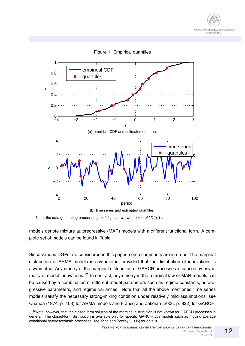



Figure 1: Empirical quantiles

Note: the data generating process is  $y_t = 0.5y_{t-1} + a_t$ , where  $a \sim NID(0, 1)$ .

models denote mixture autoregressive (MAR) models with a different functional form. A complete set of models can be found in Table 1.

Since various DGPs are considered in this paper, some comments are in order. The marginal distribution of ARMA models is asymmetric, provided that the distribution of innovations is asymmetric. Asymmetry of the marginal distribution of GARCH processes is caused by asymmetry of model innovations.<sup>12</sup> In contrast, asymmetry in the marginal law of MAR models can be caused by a combination of different model parameters such as regime constants, autoregressive parameters, and regime variances. Note that all the above mentioned time series models satisfy the necessary strong-mixing condition under relatively mild assumptions, see Chanda (1974, p. 403) for ARMA models and Francq and Zakoïan (2006, p. 822) for GARCH,

 $12$ Note, however, that the closed form solution of the marginal distribution is not known for GARCH processes in general. The closed-form distribution is available only for specific GARCH-type models such as moving average conditional heteroscedastic processes, see Yang and Bewley (1995) for details.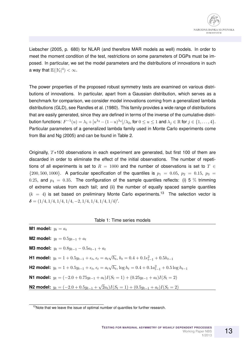Liebscher (2005, p. 680) for NLAR (and therefore MAR models as well) models. In order to meet the moment condition of the test, restrictions on some parameters of DGPs must be imposed. In particular, we set the model parameters and the distributions of innovations in such a way that  $\mathbb{E}(|Y_t|^4)<\infty$ .

The power properties of the proposed robust symmetry tests are examined on various distributions of innovations. In particular, apart from a Gaussian distribution, which serves as a benchmark for comparison, we consider model innovations coming from a generalized lambda distributions (GLD), see Randles et al. (1980). This family provides a wide range of distributions that are easily generated, since they are defined in terms of the inverse of the cumulative distribution functions:  $F^{-1}(u)=\lambda_1+[u^{\lambda_3}-(1-u)^{\lambda_4}]/\lambda_2,$  for  $0\leq u\leq 1$  and  $\lambda_j\in\mathbb{R}$  for  $j\in\{1,\ldots,4\}.$ Particular parameters of a generalized lambda family used in Monte Carlo experiments come from Bai and Ng (2005) and can be found in Table 2.

Originally,  $T+100$  observations in each experiment are generated, but first 100 of them are discarded in order to eliminate the effect of the initial observations. The number of repetitions of all experiments is set to  $R = 1000$  and the number of observations is set to  $T \in$  $\{200, 500, 1000\}$ . A particular specification of the quantiles is  $p_1 = 0.05$ ,  $p_2 = 0.15$ ,  $p_3 = 0.15$ 0.25, and  $p_4 = 0.35$ . The configuration of the sample quantiles reflects: (i) 5 % trimming of extreme values from each tail; and (ii) the number of equally spaced sample quantiles  $(k = 4)$  is set based on preliminary Monte Carlo experiments.<sup>13</sup> The selection vector is  $\delta = (1/4, 1/4, 1/4, 1/4, -2, 1/4, 1/4, 1/4, 1/4)'$ .

#### Table 1: Time series models

| M1 model: $y_t = a_t$ |                                                                                                                                         |
|-----------------------|-----------------------------------------------------------------------------------------------------------------------------------------|
|                       | <b>M2 model:</b> $y_t = 0.5y_{t-1} + a_t$                                                                                               |
|                       | <b>M3 model:</b> $y_t = 0.8y_{t-1} - 0.5a_{t-1} + a_t$                                                                                  |
|                       | <b>H1 model:</b> $y_t = 1 + 0.5y_{t-1} + \epsilon_t$ , $\epsilon_t = a_t \sqrt{h_t}$ , $h_t = 0.4 + 0.1\epsilon_{t-1}^2 + 0.5h_{t-1}$   |
|                       | <b>H2 model:</b> $y_t = 1 + 0.5y_{t-1} + \epsilon_t$ , $\epsilon_t = a_t\sqrt{h_t}$ , $\log h_t = 0.4 + 0.1a_{t-1}^2 + 0.5\log h_{t-1}$ |
|                       | <b>N1 model:</b> $y_t = (-2.0 + 0.75y_{t-1} + a_t)I(S_t = 1) + (0.25y_{t-1} + a_t)I(S_t = 2)$                                           |
|                       | N2 model: $y_t = (-2.0 + 0.5y_{t-1} + \sqrt{2}a_t)I(S_t = 1) + (0.5y_{t-1} + a_t)I(S_t = 2)$                                            |

<sup>&</sup>lt;sup>13</sup>Note that we leave the issue of optimal number of quantiles for further research.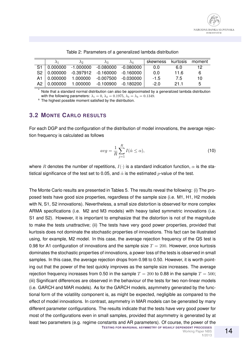|             | A۵                                            | Aз |           | skewness kurtosis |      | moment |
|-------------|-----------------------------------------------|----|-----------|-------------------|------|--------|
|             | $S1   0.000000 -1.000000 -0.080000 -0.080000$ |    |           | 0.0               | 6.0  | 12.    |
|             | S2 0.000000 -0.397912 -0.160000 -0.160000     |    |           | 0.0               | 11.6 | 6      |
|             | A1 0.000000 1.000000 -0.007500 -0.030000      |    |           | $-1.5$            | 75   | 10     |
| A2 0.000000 | 1.000000 -0.100900                            |    | -0.180200 | -20               | 21 1 | 5      |

Table 2: Parameters of a generalized lambda distribution

Note that a standard normal distribution can also be approximated by a generalized lambda distribution with the following parameters:  $\lambda_1 = 0$ ,  $\lambda_2 = 0.1975$ ,  $\lambda_3 = \lambda_4 = 0.1349$ .

a The highest possible moment satisfied by the distribution.

#### **3.2 MONTE CARLO RESULTS**

For each DGP and the configuration of the distribution of model innovations, the average rejection frequency is calculated as follows

$$
avg = \frac{1}{R} \sum_{j=1}^{R} I(\hat{\alpha} \le \alpha),\tag{10}
$$

where R denotes the number of repetitions,  $I(\cdot)$  is a standard indication function,  $\alpha$  is the statistical significance of the test set to 0.05, and  $\hat{\alpha}$  is the estimated p-value of the test.

The Monte Carlo results are presented in Tables 5. The results reveal the following: (i) The proposed tests have good size properties, regardless of the sample size (i.e. M1, H1, H2 models with N, S1, S2 innovations). Nevertheless, a small size distortion is observed for more complex ARMA specifications (i.e. M2 and M3 models) with heavy tailed symmetric innovations (i.e. S1 and S2). However, it is important to emphasize that the distortion is not of the magnitude to make the tests unattractive; (ii) The tests have very good power properties, provided that kurtosis does not dominate the stochastic properties of innovations. This fact can be illustrated using, for example, M2 model. In this case, the average rejection frequency of the QS test is 0.98 for A1 configuration of innovations and the sample size  $T = 200$ . However, once kurtosis dominates the stochastic properties of innovations, a power loss of the tests is observed in small samples. In this case, the average rejection drops from 0.98 to 0.50. However, it is worth pointing out that the power of the test quickly improves as the sample size increases. The average rejection frequency increases from 0.50 in the sample  $T = 200$  to 0.88 in the sample  $T = 500$ ; (iii) Significant differences are observed in the behaviour of the tests for two non-linear models (i.e. GARCH and MAR models). As for the GARCH models, asymmetry generated by the functional form of the volatility component is, as might be expected, negligible as compared to the effect of model innovations. In contrast, asymmetry in MAR models can be generated by many different parameter configurations. The results indicate that the tests have very good power for most of the configurations even in small samples, provided that asymmetry is generated by at least two parameters (e.g. regime constants and AR parameters). Of course, the power of the **TESTING FOR MARGINAL ASYMMETRY OF WEAKLY DEPENDENT PROCESSES**

**1**/2013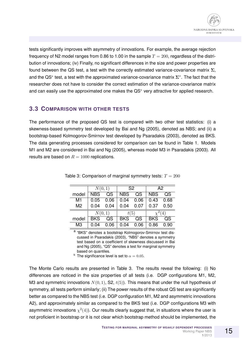tests significantly improves with asymmetry of innovations. For example, the average rejection frequency of N2 model ranges from 0.86 to 1.00 in the sample  $T = 200$ , regardless of the distribution of innovations; (iv) Finally, no significant differences in the size and power properties are found between the QS test, a test with the correctly estimated variance-covariance matrix  $\Sigma$ , and the QS<sup>\*</sup> test, a test with the approximated variance-covariance matrix  $\Sigma^*$ . The fact that the researcher does not have to consider the correct estimation of the variance-covariance matrix and can easily use the approximated one makes the QS<sup>∗</sup> very attractive for applied research.

#### **3.3 COMPARISON WITH OTHER TESTS**

The performance of the proposed QS test is compared with two other test statistics: (i) a skewness-based symmetry test developed by Bai and Ng (2005), denoted as NBS; and (ii) a bootstrap-based Kolmogorov-Smirnov test developed by Psaradakis (2003), denoted as BKS. The data generating processes considered for comparison can be found in Table 1. Models M1 and M2 are considered in Bai and Ng (2005), whereas model M3 in Psaradakis (2003). All results are based on  $R = 1000$  replications.

|                | N(0, 1)                 |                        |                         | S <sub>2</sub>         | A2         |      |
|----------------|-------------------------|------------------------|-------------------------|------------------------|------------|------|
| model          | $\overline{\text{NBS}}$ | QS                     | $\overline{\text{NBS}}$ | QS                     | <b>NBS</b> | QS   |
| M1             | 0.05                    | 0.06                   | 0.04                    | 0.06                   | 0.43       | 0.68 |
| M <sub>2</sub> | 0.04<br>0.04            |                        | 0.04                    | 0.07                   | 0.37       | 0.50 |
|                | N(0, 1)                 |                        | t(5)                    |                        | (4)        |      |
| model          | <b>BKS</b>              | $\overline{\text{QS}}$ | <b>BKS</b>              | $\overline{\text{QS}}$ | <b>BKS</b> | QS   |
| M <sub>3</sub> | 0.04                    | 0.06                   | 0.04                    | 0.06                   | 0.86       | 0.90 |

Table 3: Comparison of marginal symmetry tests:  $T = 200$ 

a "BKS" denotes a bootstrap Kolmogorov-Smirnov test discussed in Psaradakis (2003), "NBS" denotes a symmetry test based on a coefficient of skewness discussed in Bai and Ng (2005), "QS" denotes a test for marginal symmetry based on quantiles.

<sup>b</sup> The significance level is set to  $\alpha = 0.05$ .

The Monte Carlo results are presented in Table 3. The results reveal the following: (i) No differences are noticed in the size properties of all tests (i.e. DGP configurations M1, M2, M3 and symmetric innovations  $N(0, 1)$ , S2,  $t(5)$ ). This means that under the null hypothesis of symmetry, all tests perform similarly; (ii) The power results of the robust QS test are significantly better as compared to the NBS test (i.e. DGP configuration M1, M2 and asymmetric innovations A2), and approximately similar as compared to the BKS test (i.e. DGP configurations M3 with asymmetric innovations  $\chi^2(4)$ ). Our results clearly suggest that, in situations where the user is not proficient in bootstrap or it is not clear which bootstrap method should be implemented, the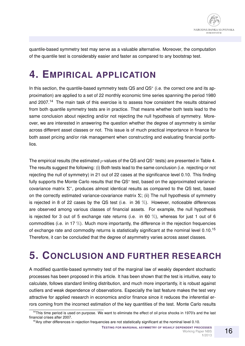

quantile-based symmetry test may serve as a valuable alternative. Moreover, the computation of the quantile test is considerably easier and faster as compared to any bootstrap test.

# **4. EMPIRICAL APPLICATION**

In this section, the quantile-based symmetry tests QS and QS<sup>\*</sup> (i.e. the correct one and its approximation) are applied to a set of 22 monthly economic time series spanning the period 1980 and 2007.<sup>14</sup> The main task of this exercise is to assess how consistent the results obtained from both quantile symmetry tests are in practice. That means whether both tests lead to the same conclusion about rejecting and/or not rejecting the null hypothesis of symmetry. Moreover, we are interested in answering the question whether the degree of asymmetry is similar across different asset classes or not. This issue is of much practical importance in finance for both asset pricing and/or risk management when constructing and evaluating financial portfolios.

The empirical results (the estimated  $p$ -values of the QS and QS<sup>\*</sup> tests) are presented in Table 4. The results suggest the following: (i) Both tests lead to the same conclusion (i.e. rejecting or not rejecting the null of symmetry) in 21 out of 22 cases at the significance level 0.10. This finding fully supports the Monte Carlo results that the QS<sup>∗</sup> test, based on the approximated variancecovariance matrix  $\Sigma^*$ , produces almost identical results as compared to the QS test, based on the correctly estimated variance-covariance matrix  $\Sigma$ ; (ii) The null hypothesis of symmetry is rejected in 8 of 22 cases by the QS test (i.e. in 36  $\%$ ). However, noticeable differences are observed among various classes of financial assets. For example, the null hypothesis is rejected for 3 out of 5 exchange rate returns (i.e. in 60  $\%$ ), whereas for just 1 out of 6 commodities (i.e. in 17  $\%$ ). Much more importantly, the difference in the rejection frequencies of exchange rate and commodity returns is statistically significant at the nominal level  $0.10^{15}$ Therefore, it can be concluded that the degree of asymmetry varies across asset classes.

# **5. CONCLUSION AND FURTHER RESEARCH**

A modified quantile-based symmetry test of the marginal law of weakly dependent stochastic processes has been proposed in this article. It has been shown that the test is intuitive, easy to calculate, follows standard limiting distribution, and much more importantly, it is robust against outliers and weak dependence of observations. Especially the last feature makes the test very attractive for applied research in economics and/or finance since it reduces the inferential errors coming from the incorrect estimation of the key quantities of the test. Monte Carlo results

**1**/2013

 $14$ This time period is used on purpose. We want to eliminate the effect of oil price shocks in 1970's and the last financial crises after 2007.

<sup>&</sup>lt;sup>15</sup>Any other differences in rejection frequencies are not statistically significant at the nominal level 0.10.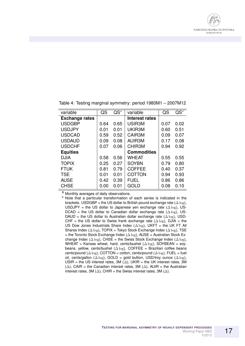

| variable              | QS   | $QS^*$ | variable            | QS   | $QS^*$ |
|-----------------------|------|--------|---------------------|------|--------|
| <b>Exchange rates</b> |      |        | Interest rates      |      |        |
| <b>USDGBP</b>         | 0.64 | 0.65   | USIR <sub>3</sub> M | 0.07 | 0.02   |
| <b>USDJPY</b>         | 0.01 | 0.01   | UKIR3M              | 0.60 | 0.51   |
| <b>USDCAD</b>         | 0.59 | 0.52   | CAIR3M              | 0.09 | 0.07   |
| <b>USDAUD</b>         | 0.09 | 0.08   | AUIR3M              | 0.17 | 0.08   |
| <b>USDCHF</b>         | 0.07 | 0.06   | CHIR3M              | 0.94 | 0.92   |
| <b>Equities</b>       |      |        | <b>Commodities</b>  |      |        |
| <b>DJIA</b>           | 0.58 | 0.56   | WHEAT               | 0.55 | 0.55   |
| <b>TOPIX</b>          | 0.25 | 0.27   | <b>SOYBN</b>        | 0.79 | 0.80   |
| <b>FTUK</b>           | 0.81 | 0.79   | <b>COFFEE</b>       | 0.40 | 0.37   |
| <b>TSE</b>            | 0.01 | 0.01   | <b>COTTON</b>       | 0.94 | 0.93   |
| <b>AUSE</b>           | 0.42 | 0.39   | <b>FUEL</b>         | 0.86 | 0.86   |
| <b>CHSE</b>           | 0.00 | 0.01   | <b>GOLD</b>         | 0.08 | 0.10   |

Table 4: Testing marginal symmetry: period 1980M1 – 2007M12

<sup>a</sup> Monthly averages of daily observations.

**b** Note that a particular transformation of each series is indicated in the brackets. USDGBP = the US dollar to British pound exchange rate ( $\Delta \log$ ), USDJPY = the US dollar to Japanese yen exchange rate  $(\Delta \log)$ , US-DCAD = the US dollar to Canadian dollar exchange rate  $(\Delta \log)$ , US-DAUD = the US dollar to Australian dollar exchange rate  $(\Delta \log)$ , USD-CHF = the US dollar to Swiss frank exchange rate  $(\Delta \log)$ , DJIA = the US Dow Jones Industrials Share Index  $(\Delta \log)$ , UKFT = the UK FT All Shares Index ( $\Delta \log$ ), TOPIX = Tokyo Stock Exchange Index ( $\Delta \log$ ), TSE = the Toronto Stock Exchange Index ( $\Delta \log$ ), AUSE = Australian Stock Exchange Index ( $\Delta \log$ ), CHSE = the Swiss Stock Exchange Index ( $\Delta \log$ ), WHEAT = Kansas wheat, hard, cents/bushel  $(\Delta \log)$ , SOYBEAN = soybeans, yellow, cents/bushel  $(\Delta \log)$ , COFFEE = Brazilian coffee beans cents/pound ( $\Delta \log$ ), COTTON = cotton, cents/pound ( $\Delta \log$ ), FUEL = fuel oil, cents/gallon ( $\Delta \log$ ), GOLD = gold bullion, USD/troy ounce ( $\Delta \log$ ), USIR = the US interest rates, 3M ( $\Delta$ ), UKIR = the UK interest rates, 3M ( $\Delta$ ), CAIR = the Canadian interest rates, 3M ( $\Delta$ ), AUIR = the Australian interest rates, 3M ( $\Delta$ ), CHIR = the Swiss interest rates, 3M ( $\Delta$ ).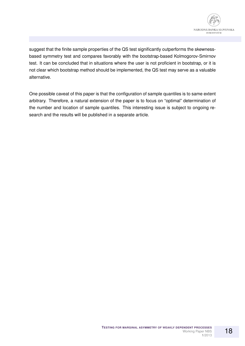

suggest that the finite sample properties of the QS test significantly outperforms the skewnessbased symmetry test and compares favorably with the bootstrap-based Kolmogorov-Smirnov test. It can be concluded that in situations where the user is not proficient in bootstrap, or it is not clear which bootstrap method should be implemented, the QS test may serve as a valuable alternative.

One possible caveat of this paper is that the configuration of sample quantiles is to same extent arbitrary. Therefore, a natural extension of the paper is to focus on "optimal" determination of the number and location of sample quantiles. This interesting issue is subject to ongoing research and the results will be published in a separate article.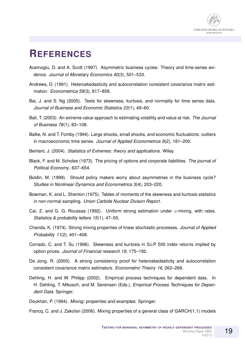

### **REFERENCES**

- Acemoglu, D. and A. Scott (1997). Asymmetric business cycles: Theory and time-series evidence. *Journal of Monetary Economics 40*(3), 501–533.
- Andrews, D. (1991). Heteroskedasticity and autocorrelation consistent covariance matrix estimation. *Econometrica 59*(3), 817–858.
- Bai, J. and S. Ng (2005). Tests for skewness, kurtosis, and normality for time series data. *Journal of Business and Economic Statistics 23*(1), 49–60.
- Bali, T. (2003). An extreme value approach to estimating volatility and value at risk. *The Journal of Business 76*(1), 83–108.
- Balke, N. and T. Fomby (1994). Large shocks, small shocks, and economic fluctuations: outliers in macroeconomic time series. *Journal of Applied Econometrics 9*(2), 181–200.
- Beirlant, J. (2004). *Statistics of Extremes: theory and applications*. Wiley.
- Black, F. and M. Scholes (1973). The pricing of options and corporate liabilities. *The journal of Political Economy*, 637–654.
- Boldin, M. (1999). Should policy makers worry about asymmetries in the business cycle? *Studies in Nonlinear Dynamics and Econometrics 3*(4), 203–220.
- Bowman, K. and L. Shenton (1975). Tables of moments of the skewness and kurtosis statistics in non-normal sampling. *Union Carbide Nuclear Divison Report*.
- Cai, Z. and G. G. Roussas (1992). Uniform strong estimation under  $\alpha$ -mixing, with rates. *Statistics & probability letters 15*(1), 47–55.
- Chanda, K. (1974). Strong mixing properties of linear stochastic processes. *Journal of Applied Probability 11*(2), 401–408.
- Corrado, C. and T. Su (1996). Skewness and kurtosis in S&P 500 index returns implied by option prices. *Journal of Financial research 19*, 175–192.
- De Jong, R. (2000). A strong consistency proof for heteroskedasticity and autocorrelation consistent covariance matrix estimators. *Econometric Theory 16*, 262–268.
- Dehling, H. and W. Philipp (2002). Empirical process techniques for dependent data. In H. Dehling, T. Mikosch, and M. Sørensen (Eds.), *Empirical Process Techniques for Dependent Data*. Springer.
- Doukhan, P. (1994). *Mixing: properties and examples*. Springer.

Francq, C. and J. Zakoïan (2006). Mixing properties of a general class of GARCH(1,1) models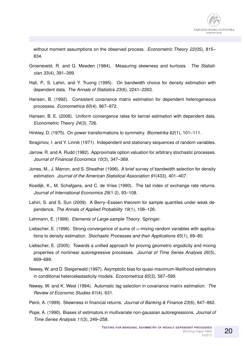without moment assumptions on the observed process. *Econometric Theory 22*(05), 815– 834.

- Groeneveld, R. and G. Meeden (1984). Measuring skewness and kurtosis. *The Statistician 33*(4), 391–399.
- Hall, P., S. Lahiri, and Y. Truong (1995). On bandwidth choice for density estimation with dependent data. *The Annals of Statistics 23*(6), 2241–2263.
- Hansen, B. (1992). Consistent covariance matrix estimation for dependent heterogeneous processes. *Econometrica 60*(4), 967–972.
- Hansen, B. E. (2008). Uniform convergence rates for kernel estimation with dependent data. *Econometric Theory 24*(3), 726.
- Hinkley, D. (1975). On power transformations to symmetry. *Biometrika 62*(1), 101–111.
- Ibragimov, I. and Y. Linnik (1971). Independent and stationary sequences of random variables.
- Jarrow, R. and A. Rudd (1982). Approximate option valuation for arbitrary stochastic processes. *Journal of Financial Economics 10*(3), 347–369.
- Jones, M., J. Marron, and S. Sheather (1996). A brief survey of bandwidth selection for density estimation. *Journal of the American Statistical Association 91*(433), 401–407.
- Koedijk, K., M. Schafgans, and C. de Vries (1990). The tail index of exchange rate returns. *Journal of International Economics 29*(1-2), 93–108.
- Lahiri, S. and S. Sun (2009). A Berry–Esseen theorem for sample quantiles under weak dependence. *The Annals of Applied Probability 19*(1), 108–126.
- Lehmann, E. (1999). *Elements of Large-sample Theory*. Springer.
- Liebscher, E. (1996). Strong convergence of sums of  $\alpha$ -mixing random variables with applications to density estimation. *Stochastic Processes and their Applications 65*(1), 69–80.
- Liebscher, E. (2005). Towards a unified approach for proving geometric ergodicity and mixing properties of nonlinear autoregressive processes. *Journal of Time Series Analysis 26*(5), 669–689.
- Newey, W. and D. Steigerwald (1997). Asymptotic bias for quasi-maximum-likelihood estimators in conditional heteroskedasticity models. *Econometrica 65*(3), 587–599.
- Newey, W. and K. West (1994). Automatic lag selection in covariance matrix estimation. *The Review of Economic Studies 61*(4), 631.
- Peiró, A. (1999). Skewness in financial returns. Journal of Banking & Finance 23(6), 847–862.
- Pope, A. (1990). Biases of estimators in multivariate non-gaussian autoregressions. *Journal of Time Series Analysis 11*(3), 249–258.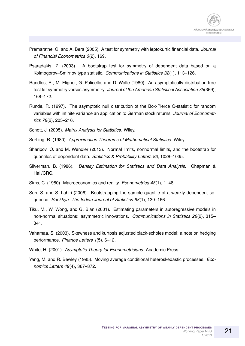

- Premaratne, G. and A. Bera (2005). A test for symmetry with leptokurtic financial data. *Journal of Financial Econometrics 3*(2), 169.
- Psaradakis, Z. (2003). A bootstrap test for symmetry of dependent data based on a Kolmogorov–Smirnov type statistic. *Communications in Statistics 32*(1), 113–126.
- Randles, R., M. Fligner, G. Policello, and D. Wolfe (1980). An asymptotically distribution-free test for symmetry versus asymmetry. *Journal of the American Statistical Association 75*(369), 168–172.
- Runde, R. (1997). The asymptotic null distribution of the Box-Pierce Q-statistic for random variables with infinite variance an application to German stock returns. *Journal of Econometrics 78*(2), 205–216.
- Schott, J. (2005). *Matrix Analysis for Statistics*. Wiley.
- Serfling, R. (1980). *Approximation Theorems of Mathematical Statistics*. Wiley.
- Sharipov, O. and M. Wendler (2013). Normal limits, nonnormal limits, and the bootstrap for quantiles of dependent data. *Statistics & Probability Letters 83*, 1028–1035.
- Silverman, B. (1986). *Density Estimation for Statistics and Data Analysis*. Chapman & Hall/CRC.
- Sims, C. (1980). Macroeconomics and reality. *Econometrica 48*(1), 1–48.
- Sun, S. and S. Lahiri (2006). Bootstrapping the sample quantile of a weakly dependent sequence. *Sankhyā: The Indian Journal of Statistics 68*(1), 130-166.
- Tiku, M., W. Wong, and G. Bian (2001). Estimating parameters in autoregressive models in non-normal situations: asymmetric innovations. *Communications in Statistics 28*(2), 315– 341.
- Vahamaa, S. (2003). Skewness and kurtosis adjusted black-scholes model: a note on hedging performance. *Finance Letters 1*(5), 6–12.
- White, H. (2001). *Asymptotic Theory for Econometricians*. Academic Press.
- Yang, M. and R. Bewley (1995). Moving average conditional heteroskedastic processes. *Economics Letters 49*(4), 367–372.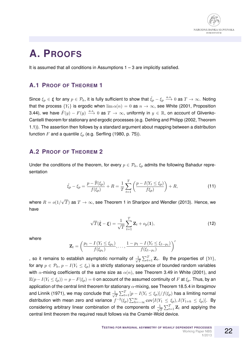

### **A. PROOFS**

It is assumed that all conditions in Assumptions  $1 - 3$  are implicitly satisfied.

#### **A.1 PROOF OF THEOREM 1**

Since  $\xi_p\in\bm{\xi}$  for any  $p\in\mathcal{P}_k$ , it is fully sufficient to show that  $\hat{\xi}_p-\xi_p\stackrel{a.s.}\longrightarrow 0$  as  $T\to\infty$ . Noting that the process  $\{Y_t\}$  is ergodic when  $\lim \alpha(n) = 0$  as  $n \to \infty$ , see White (2001, Proposition 3.44), we have  $\hat{F}(y) - F(y) \stackrel{a.s.}{\longrightarrow} 0$  as  $T \to \infty$ , uniformly in  $y \in \mathbb{R}$ , on account of Glivenko-Cantelli theorem for stationary and ergodic processes (e.g. Dehling and Philipp (2002, Theorem 1.1)). The assertion then follows by a standard argument about mapping between a distribution function F and a quantile  $\xi_p$  (e.g. Serfling (1980, p. 75)).

#### **A.2 PROOF OF THEOREM 2**

Under the conditions of the theorem, for every  $p \in \mathcal{P}_k$ ,  $\xi_p$  admits the following Bahadur representation

$$
\hat{\xi}_p - \xi_p = \frac{p - \hat{\mathbb{F}}(\xi_p)}{f(\xi_p)} + R = \frac{1}{T} \sum_{t=1}^T \left( \frac{p - I(Y_t \le \xi_p)}{f \xi_p} \right) + R,\tag{11}
$$

where  $R = o(1/$ √  $T)$  as  $T\rightarrow\infty$ , see Theorem 1 in Sharipov and Wendler (2013). Hence, we have

$$
\sqrt{T}(\hat{\boldsymbol{\xi}} - \boldsymbol{\xi}) = \frac{1}{\sqrt{T}} \sum_{t=1}^{T} \mathbf{Z}_t + o_p(\mathbf{1}),
$$
\n(12)

where

$$
\mathbf{Z}_{t} = \left(\frac{p_{1} - I(Y_{t} \leq \xi_{p_{1}})}{f(\xi_{p_{1}})}, \ldots, \frac{1 - p_{1} - I(Y_{t} \leq \xi_{1-p_{1}})}{f(\xi_{1-p_{1}})}\right)^{\prime}
$$

, so it remains to establish asymptotic normality of  $\frac{1}{\sqrt{2}}$  $\frac{1}{T}\sum_{t=1}^T \mathbf{Z}_t$ . By the properties of  $\{Yt\},$ for any  $p \in \mathcal{P}_k$ ,  $p - I(Y_t \leq \xi_p)$  is a strictly stationary sequence of bounded random variables with  $\alpha$ -mixing coefficients of the same size as  $\alpha(n)$ , see Theorem 3.49 in White (2001), and  $\mathbb{E}(p-I(Y_t \leq \xi_p))=p-F(\xi_p)=0$  on account of the assumed continuity of F at  $\xi_p$ . Thus, by an application of the central limit theorem for stationary  $\alpha$ -mixing, see Theorem 18.5.4 in Ibragimov and Linnik (1971), we may conclude that  $\frac{1}{\sqrt{2}}$  $\frac{1}{T}\sum_{t=1}^T[p-I(Y_t\leq \xi_p)]/f(\xi_p)$  has a limiting normal distribution with mean zero and variance  $f^{-2}(\xi_p)\sum_{h=-\infty}^{\infty} \mathrm{cov}[I(Y_1\leq \xi_p), I(Y_{1+h}\leq \xi_p)].$  By considering arbitrary linear combination of the components of  $\frac{1}{\sqrt{2}}$  $\frac{1}{T}\sum_{t=1}^T \mathbf{Z}_t$  and applying the central limit theorem the required result follows via the Cramér-Wold device.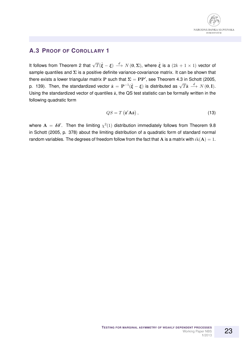#### **A.3 PROOF OF COROLLARY 1**

It follows from Theorem 2 that  $\sqrt{T}(\hat{\xi}-\xi) \stackrel{d}{\longrightarrow} N(\mathbf{0},\mathbf{\Sigma})$ , where  $\hat{\xi}$  is a  $(2k+1\times1)$  vector of sample quantiles and  $\Sigma$  is a positive definite variance-covariance matrix. It can be shown that there exists a lower triangular matrix P such that  $\Sigma = PP'$ , see Theorem 4.3 in Schott (2005, p. 139). Then, the standardized vector  $\hat{\mathbf{z}} = \mathbf{P}^{-1}(\hat{\xi} - \xi)$  is distributed as  $\sqrt{T}\hat{\mathbf{z}} \stackrel{d}{\longrightarrow} N(\mathbf{0}, \mathbf{I})$ . Using the standardized vector of quantiles  $\hat{z}$ , the QS test statistic can be formally written in the following quadratic form

$$
QS = T(\hat{\mathbf{z}}' \mathbf{A} \hat{\mathbf{z}}), \tag{13}
$$

where  $A = \delta \delta'$ . Then the limiting  $\chi^2(1)$  distribution immediately follows from Theorem 9.8 in Schott (2005, p. 378) about the limiting distribution of a quadratic form of standard normal random variables. The degrees of freedom follow from the fact that A is a matrix with  $rk(A) = 1$ .